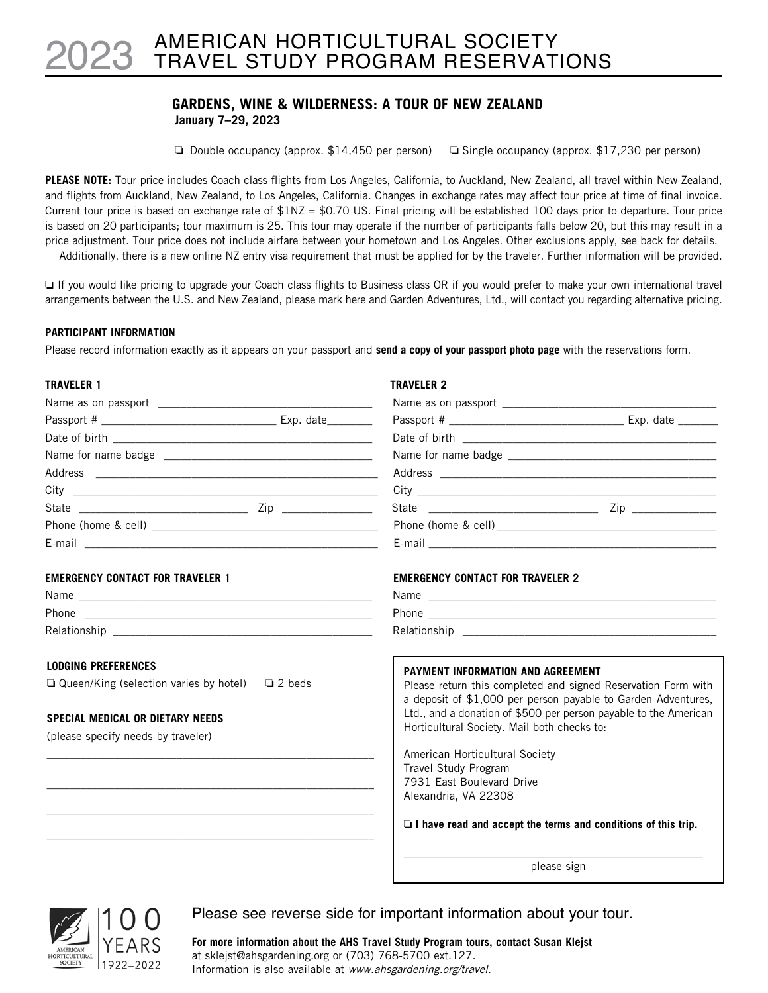# AMERICAN HORTICULTURAL SOCIETY TRAVEL STUDY PROGRAM RESERVATIONS 2023

# **GARDENS, WINE & WILDERNESS: A TOUR OF NEW ZEALAND January 7–29, 2023**

**D** Double occupancy (approx.  $$14,450$  per person) **D** Single occupancy (approx.  $$17,230$  per person)

**PLEASE NOTE:** Tour price includes Coach class flights from Los Angeles, California, to Auckland, New Zealand, all travel within New Zealand, and flights from Auckland, New Zealand, to Los Angeles, California. Changes in exchange rates may affect tour price at time of final invoice. Current tour price is based on exchange rate of  $$1NZ = $0.70$  US. Final pricing will be established 100 days prior to departure. Tour price is based on 20 participants; tour maximum is 25. This tour may operate if the number of participants falls below 20, but this may result in a price adjustment. Tour price does not include airfare between your hometown and Los Angeles. Other exclusions apply, see back for details. Additionally, there is a new online NZ entry visa requirement that must be applied for by the traveler. Further information will be provided.

□ If you would like pricing to upgrade your Coach class flights to Business class OR if you would prefer to make your own international travel arrangements between the U.S. and New Zealand, please mark here and Garden Adventures, Ltd., will contact you regarding alternative pricing.

# **PARTICIPANT INFORMATION**

Please record information exactly as it appears on your passport and **send a copy of your passport photo page** with the reservations form.

# **TRAVELER 1** TRAVELER 2

| <b>EMERGENCY CONTACT FOR TRAVELER 1</b>                        | <b>EMERGENCY CONTACT FOR TRAVELER 2</b>                                                                                        |
|----------------------------------------------------------------|--------------------------------------------------------------------------------------------------------------------------------|
|                                                                |                                                                                                                                |
|                                                                |                                                                                                                                |
|                                                                |                                                                                                                                |
| <b>LODGING PREFERENCES</b>                                     | PAYMENT INFORMATION AND AGREEMENT                                                                                              |
| $\Box$ Queen/King (selection varies by hotel)<br>$\Box$ 2 beds | Please return this completed and signed Reservation Form with<br>a deposit of \$1,000 per person payable to Garden Adventures, |
| SPECIAL MEDICAL OR DIETARY NEEDS                               | Ltd., and a donation of \$500 per person payable to the American                                                               |
| (please specify needs by traveler)                             | Horticultural Society. Mail both checks to:                                                                                    |
|                                                                | American Horticultural Society                                                                                                 |
|                                                                | Travel Study Program                                                                                                           |
|                                                                | 7931 East Boulevard Drive                                                                                                      |
|                                                                | Alexandria, VA 22308                                                                                                           |
|                                                                | $\Box$ I have read and accept the terms and conditions of this trip.                                                           |
|                                                                | please sign                                                                                                                    |



Please see reverse side for important information about your tour.

**For more information about the AHS Travel Study Program tours, contact Susan Klejst** at sklejst@ahsgardening.org or (703) 768-5700 ext.127. Information is also available at *www.ahsgardening.org/travel.*